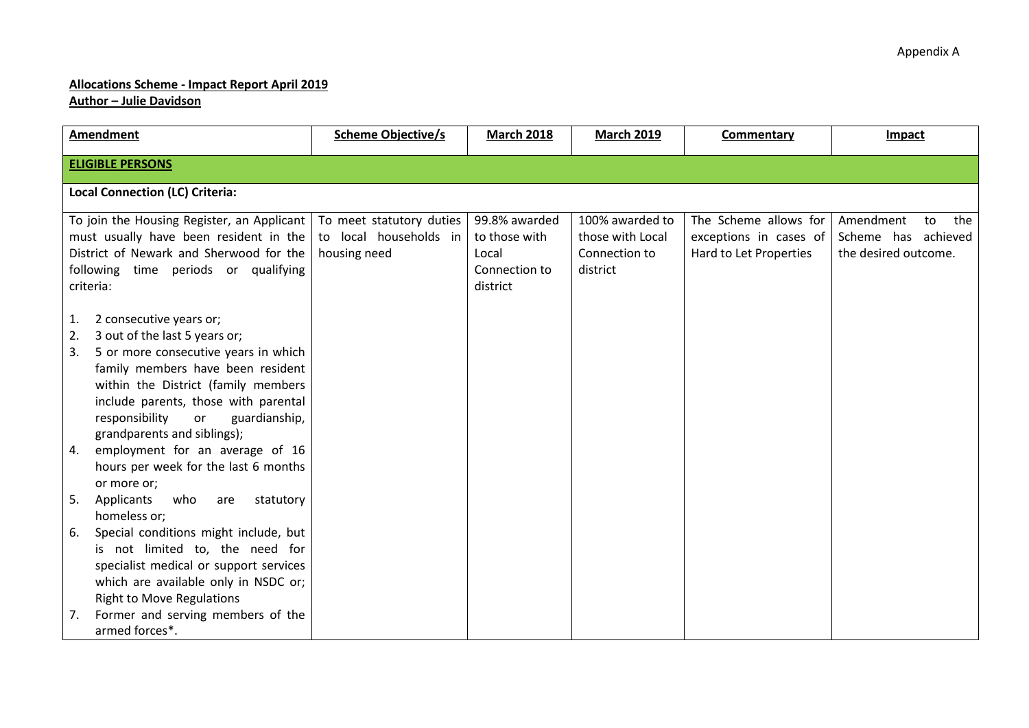## **Allocations Scheme - Impact Report April 2019**

**Author – Julie Davidson**

| Amendment                                                                                                                                                                                                                                                                                                                                                                                                      | <b>Scheme Objective/s</b>                                          | <b>March 2018</b>                                                    | <b>March 2019</b>                                                | <b>Commentary</b>                                                         | Impact                                                                |
|----------------------------------------------------------------------------------------------------------------------------------------------------------------------------------------------------------------------------------------------------------------------------------------------------------------------------------------------------------------------------------------------------------------|--------------------------------------------------------------------|----------------------------------------------------------------------|------------------------------------------------------------------|---------------------------------------------------------------------------|-----------------------------------------------------------------------|
| <b>ELIGIBLE PERSONS</b>                                                                                                                                                                                                                                                                                                                                                                                        |                                                                    |                                                                      |                                                                  |                                                                           |                                                                       |
| <b>Local Connection (LC) Criteria:</b>                                                                                                                                                                                                                                                                                                                                                                         |                                                                    |                                                                      |                                                                  |                                                                           |                                                                       |
| To join the Housing Register, an Applicant<br>must usually have been resident in the<br>District of Newark and Sherwood for the<br>following time periods or qualifying<br>criteria:                                                                                                                                                                                                                           | To meet statutory duties<br>to local households in<br>housing need | 99.8% awarded<br>to those with<br>Local<br>Connection to<br>district | 100% awarded to<br>those with Local<br>Connection to<br>district | The Scheme allows for<br>exceptions in cases of<br>Hard to Let Properties | Amendment<br>the<br>to<br>Scheme has achieved<br>the desired outcome. |
| 2 consecutive years or;<br>1.<br>3 out of the last 5 years or;<br>2.<br>5 or more consecutive years in which<br>3.<br>family members have been resident<br>within the District (family members<br>include parents, those with parental<br>responsibility<br>guardianship,<br>or<br>grandparents and siblings);<br>employment for an average of 16<br>4.<br>hours per week for the last 6 months<br>or more or; |                                                                    |                                                                      |                                                                  |                                                                           |                                                                       |
| 5.<br>Applicants<br>who<br>statutory<br>are<br>homeless or;                                                                                                                                                                                                                                                                                                                                                    |                                                                    |                                                                      |                                                                  |                                                                           |                                                                       |
| Special conditions might include, but<br>6.<br>is not limited to, the need for<br>specialist medical or support services<br>which are available only in NSDC or;<br><b>Right to Move Regulations</b>                                                                                                                                                                                                           |                                                                    |                                                                      |                                                                  |                                                                           |                                                                       |
| Former and serving members of the<br>7.<br>armed forces*.                                                                                                                                                                                                                                                                                                                                                      |                                                                    |                                                                      |                                                                  |                                                                           |                                                                       |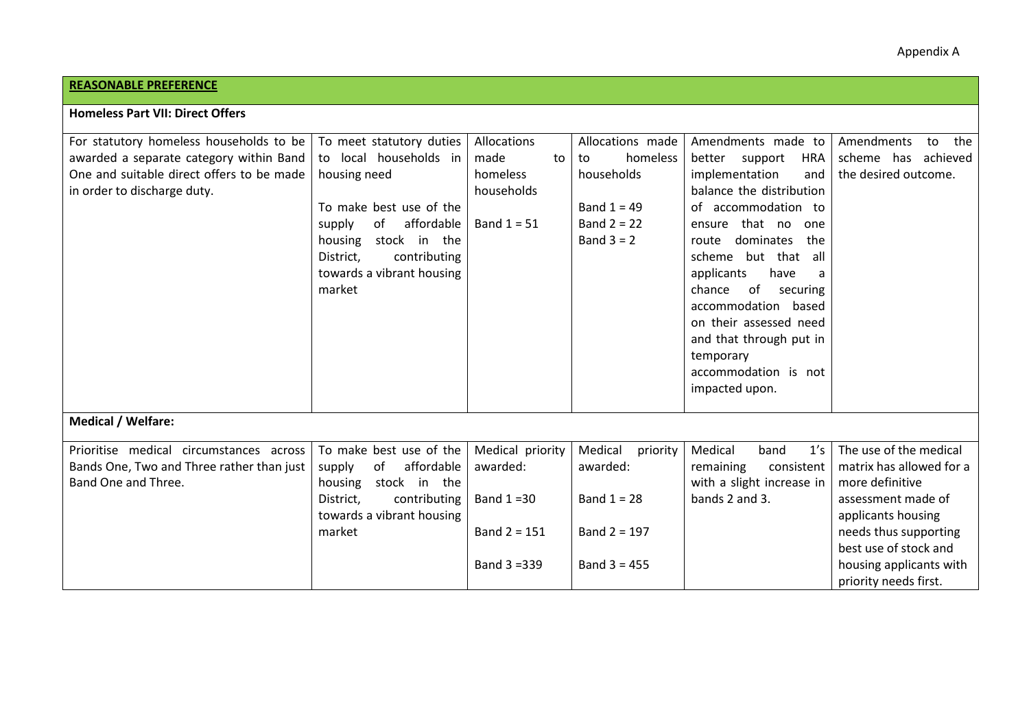## **REASONABLE PREFERENCE**

| Homeless Part VII: Direct Offers           |  |
|--------------------------------------------|--|
| For statutory homeless households to be To |  |

| For statutory homeless households to be   | To meet statutory duties   | Allocations      | Allocations made    | Amendments made to           | Amendments<br>the<br>to  |
|-------------------------------------------|----------------------------|------------------|---------------------|------------------------------|--------------------------|
| awarded a separate category within Band   | to local households in     | made<br>to       | homeless<br>to      | <b>HRA</b><br>better support | scheme has achieved      |
| One and suitable direct offers to be made | housing need               | homeless         | households          | implementation<br>and        | the desired outcome.     |
| in order to discharge duty.               |                            | households       |                     | balance the distribution     |                          |
|                                           | To make best use of the    |                  | Band $1 = 49$       | of accommodation to          |                          |
|                                           | affordable<br>of<br>supply | Band $1 = 51$    | Band $2 = 22$       | ensure that no<br>one        |                          |
|                                           | stock in the<br>housing    |                  | Band $3 = 2$        | dominates<br>the<br>route    |                          |
|                                           | District,<br>contributing  |                  |                     | but that<br>scheme<br>all    |                          |
|                                           | towards a vibrant housing  |                  |                     | applicants<br>have           |                          |
|                                           | market                     |                  |                     | of<br>chance<br>securing     |                          |
|                                           |                            |                  |                     | accommodation based          |                          |
|                                           |                            |                  |                     | on their assessed need       |                          |
|                                           |                            |                  |                     | and that through put in      |                          |
|                                           |                            |                  |                     | temporary                    |                          |
|                                           |                            |                  |                     | accommodation is not         |                          |
|                                           |                            |                  |                     | impacted upon.               |                          |
|                                           |                            |                  |                     |                              |                          |
| <b>Medical / Welfare:</b>                 |                            |                  |                     |                              |                          |
|                                           |                            |                  |                     |                              |                          |
| Prioritise medical circumstances across   | To make best use of the    | Medical priority | Medical<br>priority | Medical<br>band<br>1's       | The use of the medical   |
| Bands One, Two and Three rather than just | affordable<br>supply<br>of | awarded:         | awarded:            | consistent<br>remaining      | matrix has allowed for a |
| Band One and Three.                       | housing<br>stock in the    |                  |                     | with a slight increase in    | more definitive          |
|                                           | District,<br>contributing  | Band $1 = 30$    | Band $1 = 28$       | bands 2 and 3.               | assessment made of       |
|                                           | towards a vibrant housing  |                  |                     |                              | applicants housing       |
|                                           | market                     | Band $2 = 151$   | Band $2 = 197$      |                              | needs thus supporting    |
|                                           |                            |                  |                     |                              | best use of stock and    |
|                                           |                            | Band 3 = 339     | Band $3 = 455$      |                              | housing applicants with  |
|                                           |                            |                  |                     |                              | priority needs first.    |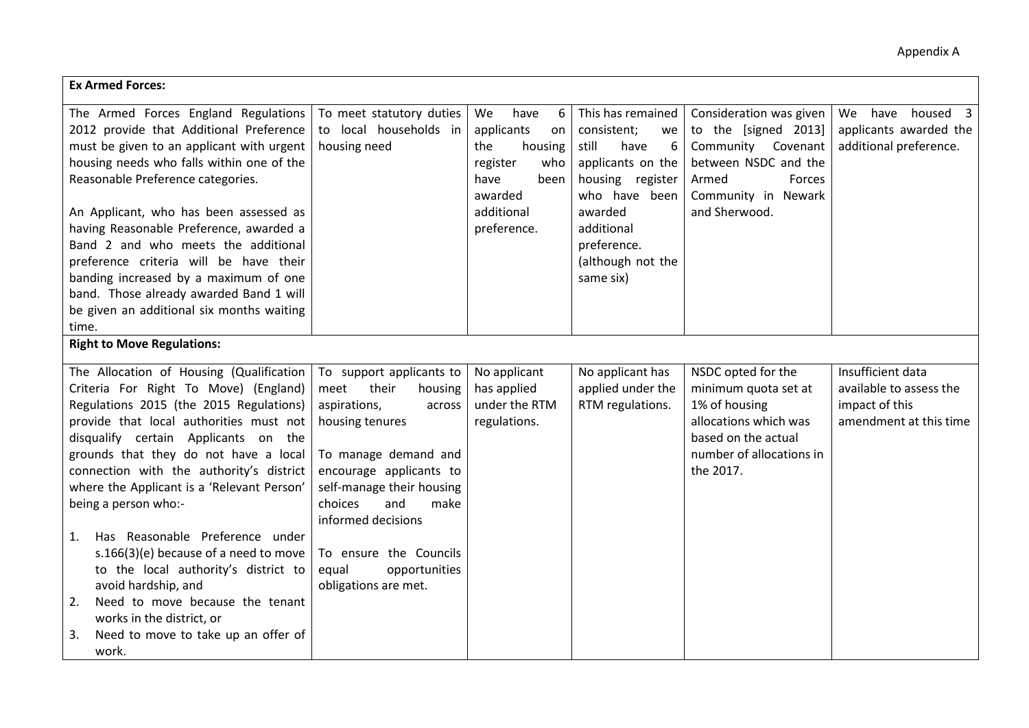| <b>Ex Armed Forces:</b>                                                                                                                                                                                                                                                                                                                                                                                                                                                                                                                                                                                                                                 |                                                                                                                                                                                                                                                                                                               |                                                                                                                                  |                                                                                                                                                                                                  |                                                                                                                                                          |                                                                                          |
|---------------------------------------------------------------------------------------------------------------------------------------------------------------------------------------------------------------------------------------------------------------------------------------------------------------------------------------------------------------------------------------------------------------------------------------------------------------------------------------------------------------------------------------------------------------------------------------------------------------------------------------------------------|---------------------------------------------------------------------------------------------------------------------------------------------------------------------------------------------------------------------------------------------------------------------------------------------------------------|----------------------------------------------------------------------------------------------------------------------------------|--------------------------------------------------------------------------------------------------------------------------------------------------------------------------------------------------|----------------------------------------------------------------------------------------------------------------------------------------------------------|------------------------------------------------------------------------------------------|
| The Armed Forces England Regulations<br>2012 provide that Additional Preference<br>must be given to an applicant with urgent<br>housing needs who falls within one of the<br>Reasonable Preference categories.<br>An Applicant, who has been assessed as<br>having Reasonable Preference, awarded a<br>Band 2 and who meets the additional<br>preference criteria will be have their<br>banding increased by a maximum of one<br>band. Those already awarded Band 1 will<br>be given an additional six months waiting<br>time.                                                                                                                          | To meet statutory duties<br>to local households in<br>housing need                                                                                                                                                                                                                                            | We<br>have<br>6<br>applicants<br>on<br>the<br>housing<br>register<br>who<br>have<br>been<br>awarded<br>additional<br>preference. | This has remained<br>consistent;<br>we<br>still<br>have<br>6<br>applicants on the<br>housing register<br>who have been<br>awarded<br>additional<br>preference.<br>(although not the<br>same six) | Consideration was given<br>to the [signed 2013]<br>Community Covenant<br>between NSDC and the<br>Forces<br>Armed<br>Community in Newark<br>and Sherwood. | We have housed 3<br>applicants awarded the<br>additional preference.                     |
| <b>Right to Move Regulations:</b>                                                                                                                                                                                                                                                                                                                                                                                                                                                                                                                                                                                                                       |                                                                                                                                                                                                                                                                                                               |                                                                                                                                  |                                                                                                                                                                                                  |                                                                                                                                                          |                                                                                          |
| The Allocation of Housing (Qualification<br>Criteria For Right To Move) (England)<br>Regulations 2015 (the 2015 Regulations)<br>provide that local authorities must not<br>disqualify certain Applicants on the<br>grounds that they do not have a local<br>connection with the authority's district<br>where the Applicant is a 'Relevant Person'<br>being a person who:-<br>Has Reasonable Preference under<br>1.<br>s.166(3)(e) because of a need to move<br>to the local authority's district to<br>avoid hardship, and<br>Need to move because the tenant<br>2.<br>works in the district, or<br>Need to move to take up an offer of<br>3.<br>work. | To support applicants to<br>their<br>meet<br>housing<br>aspirations,<br>across<br>housing tenures<br>To manage demand and<br>encourage applicants to<br>self-manage their housing<br>choices<br>and<br>make<br>informed decisions<br>To ensure the Councils<br>equal<br>opportunities<br>obligations are met. | No applicant<br>has applied<br>under the RTM<br>regulations.                                                                     | No applicant has<br>applied under the<br>RTM regulations.                                                                                                                                        | NSDC opted for the<br>minimum quota set at<br>1% of housing<br>allocations which was<br>based on the actual<br>number of allocations in<br>the 2017.     | Insufficient data<br>available to assess the<br>impact of this<br>amendment at this time |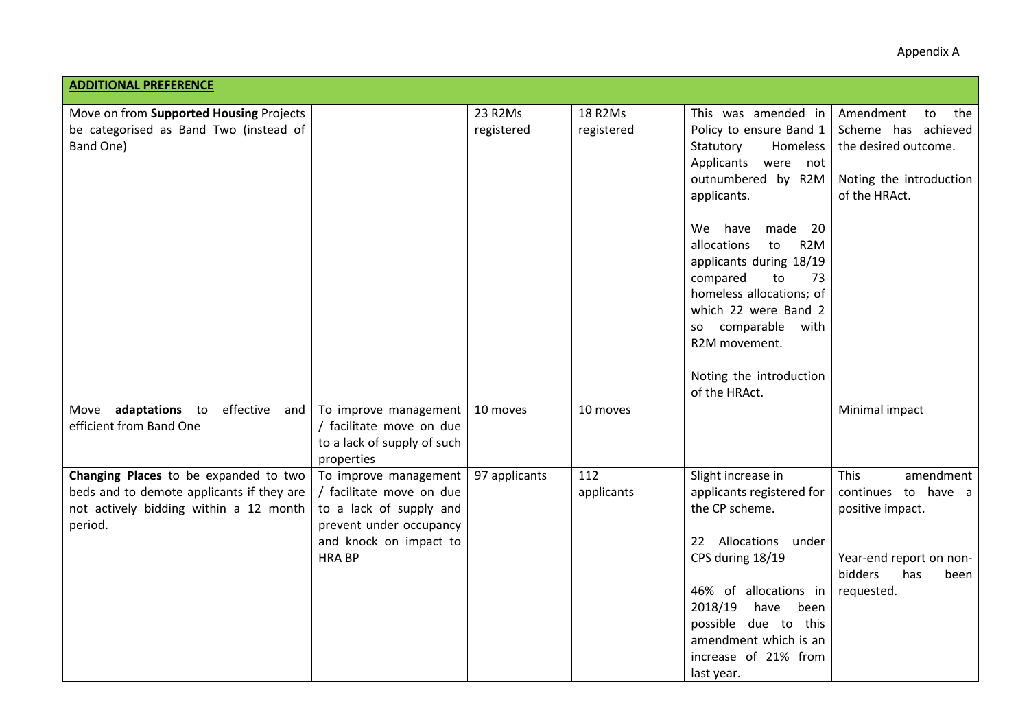| Appendix A |  |
|------------|--|
|------------|--|

| <b>ADDITIONAL PREFERENCE</b>                                                                                                            |                                                                                                                                                   |               |                   |                                                                                                                                                                                                                                                          |                                                                                                                                        |
|-----------------------------------------------------------------------------------------------------------------------------------------|---------------------------------------------------------------------------------------------------------------------------------------------------|---------------|-------------------|----------------------------------------------------------------------------------------------------------------------------------------------------------------------------------------------------------------------------------------------------------|----------------------------------------------------------------------------------------------------------------------------------------|
| Move on from Supported Housing Projects                                                                                                 |                                                                                                                                                   | 23 R2Ms       | 18 R2Ms           | This was amended in                                                                                                                                                                                                                                      | Amendment<br>to<br>the                                                                                                                 |
| be categorised as Band Two (instead of<br>Band One)                                                                                     |                                                                                                                                                   | registered    | registered        | Policy to ensure Band 1<br>Statutory<br>Homeless<br>Applicants were<br>not<br>outnumbered by R2M<br>applicants.                                                                                                                                          | Scheme has achieved<br>the desired outcome.<br>Noting the introduction<br>of the HRAct.                                                |
|                                                                                                                                         |                                                                                                                                                   |               |                   | We have<br>made 20<br>allocations<br>R <sub>2</sub> M<br>to<br>applicants during 18/19<br>compared<br>to<br>73<br>homeless allocations; of<br>which 22 were Band 2<br>so comparable<br>with<br>R2M movement.<br>Noting the introduction<br>of the HRAct. |                                                                                                                                        |
| Move adaptations to<br>effective<br>and<br>efficient from Band One                                                                      | To improve management<br>/ facilitate move on due<br>to a lack of supply of such<br>properties                                                    | 10 moves      | 10 moves          |                                                                                                                                                                                                                                                          | Minimal impact                                                                                                                         |
| Changing Places to be expanded to two<br>beds and to demote applicants if they are<br>not actively bidding within a 12 month<br>period. | To improve management<br>/ facilitate move on due<br>to a lack of supply and<br>prevent under occupancy<br>and knock on impact to<br><b>HRABP</b> | 97 applicants | 112<br>applicants | Slight increase in<br>applicants registered for<br>the CP scheme.<br>22 Allocations under<br>CPS during 18/19<br>46% of allocations in<br>2018/19<br>have<br>been<br>possible due to this<br>amendment which is an<br>increase of 21% from               | <b>This</b><br>amendment<br>continues to have a<br>positive impact.<br>Year-end report on non-<br>bidders<br>has<br>been<br>requested. |
|                                                                                                                                         |                                                                                                                                                   |               |                   | last year.                                                                                                                                                                                                                                               |                                                                                                                                        |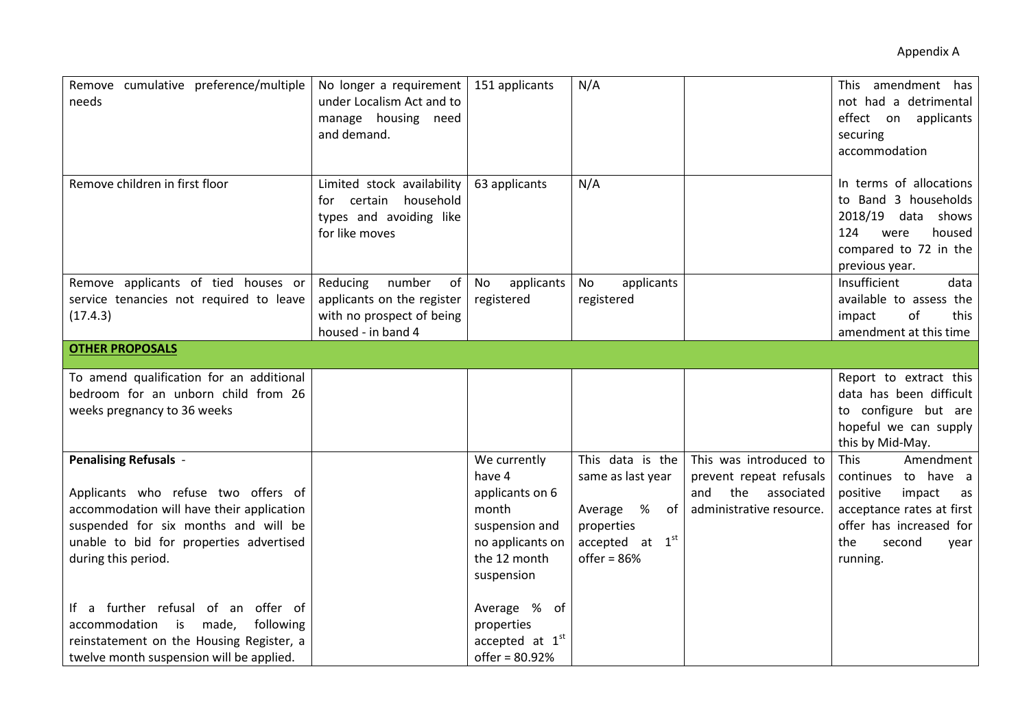| Remove cumulative preference/multiple<br>needs                                                                                                                                                                             | No longer a requirement<br>under Localism Act and to<br>manage housing need<br>and demand.                | 151 applicants                                                                                                         | N/A                                                                                                          |                                                                                                           | This amendment has<br>not had a detrimental<br>effect on applicants<br>securing<br>accommodation                                                                  |
|----------------------------------------------------------------------------------------------------------------------------------------------------------------------------------------------------------------------------|-----------------------------------------------------------------------------------------------------------|------------------------------------------------------------------------------------------------------------------------|--------------------------------------------------------------------------------------------------------------|-----------------------------------------------------------------------------------------------------------|-------------------------------------------------------------------------------------------------------------------------------------------------------------------|
| Remove children in first floor                                                                                                                                                                                             | Limited stock availability<br>certain<br>household<br>tor⊹<br>types and avoiding like<br>for like moves   | 63 applicants                                                                                                          | N/A                                                                                                          |                                                                                                           | In terms of allocations<br>to Band 3 households<br>2018/19 data shows<br>124<br>housed<br>were<br>compared to 72 in the<br>previous year.                         |
| Remove applicants of tied houses or<br>service tenancies not required to leave<br>(17.4.3)                                                                                                                                 | Reducing<br>number<br>of<br>applicants on the register<br>with no prospect of being<br>housed - in band 4 | No<br>applicants<br>registered                                                                                         | applicants<br>No<br>registered                                                                               |                                                                                                           | Insufficient<br>data<br>available to assess the<br>of<br>impact<br>this<br>amendment at this time                                                                 |
| <b>OTHER PROPOSALS</b>                                                                                                                                                                                                     |                                                                                                           |                                                                                                                        |                                                                                                              |                                                                                                           |                                                                                                                                                                   |
| To amend qualification for an additional<br>bedroom for an unborn child from 26<br>weeks pregnancy to 36 weeks                                                                                                             |                                                                                                           |                                                                                                                        |                                                                                                              |                                                                                                           | Report to extract this<br>data has been difficult<br>to configure but are<br>hopeful we can supply<br>this by Mid-May.                                            |
| <b>Penalising Refusals -</b><br>Applicants who refuse two offers of<br>accommodation will have their application<br>suspended for six months and will be<br>unable to bid for properties advertised<br>during this period. |                                                                                                           | We currently<br>have 4<br>applicants on 6<br>month<br>suspension and<br>no applicants on<br>the 12 month<br>suspension | This data is the<br>same as last year<br>Average %<br>of<br>properties<br>accepted at $1st$<br>offer = $86%$ | This was introduced to<br>prevent repeat refusals<br>the<br>associated<br>and<br>administrative resource. | This<br>Amendment<br>continues to have a<br>positive<br>impact<br>as<br>acceptance rates at first<br>offer has increased for<br>the<br>second<br>year<br>running. |
| If a further refusal of an offer of<br>accommodation is made,<br>following<br>reinstatement on the Housing Register, a<br>twelve month suspension will be applied.                                                         |                                                                                                           | Average % of<br>properties<br>accepted at $1st$<br>offer = 80.92%                                                      |                                                                                                              |                                                                                                           |                                                                                                                                                                   |